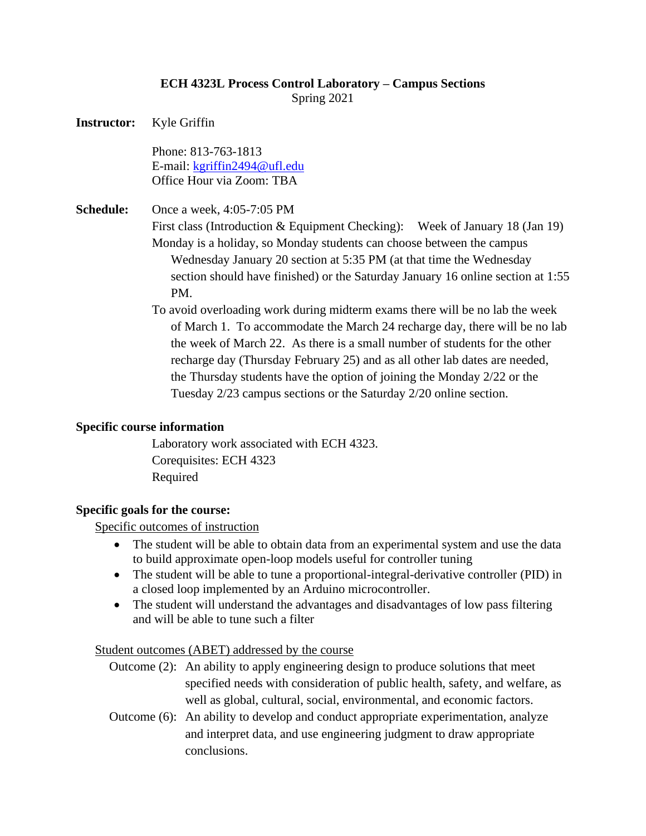# **ECH 4323L Process Control Laboratory – Campus Sections**

Spring 2021

**Instructor:** Kyle Griffin

Phone: 813-763-1813 E-mail: kgriffin2494@ufl.edu Office Hour via Zoom: TBA

**Schedule:** Once a week, 4:05-7:05 PM

First class (Introduction & Equipment Checking): Week of January 18 (Jan 19)

Monday is a holiday, so Monday students can choose between the campus Wednesday January 20 section at 5:35 PM (at that time the Wednesday section should have finished) or the Saturday January 16 online section at 1:55 PM.

To avoid overloading work during midterm exams there will be no lab the week of March 1. To accommodate the March 24 recharge day, there will be no lab the week of March 22. As there is a small number of students for the other recharge day (Thursday February 25) and as all other lab dates are needed, the Thursday students have the option of joining the Monday 2/22 or the Tuesday 2/23 campus sections or the Saturday 2/20 online section.

## **Specific course information**

Laboratory work associated with ECH 4323. Corequisites: ECH 4323 Required

## **Specific goals for the course:**

Specific outcomes of instruction

- The student will be able to obtain data from an experimental system and use the data to build approximate open-loop models useful for controller tuning
- The student will be able to tune a proportional-integral-derivative controller (PID) in a closed loop implemented by an Arduino microcontroller.
- The student will understand the advantages and disadvantages of low pass filtering and will be able to tune such a filter

Student outcomes (ABET) addressed by the course

- Outcome (2): An ability to apply engineering design to produce solutions that meet specified needs with consideration of public health, safety, and welfare, as well as global, cultural, social, environmental, and economic factors.
- Outcome (6): An ability to develop and conduct appropriate experimentation, analyze and interpret data, and use engineering judgment to draw appropriate conclusions.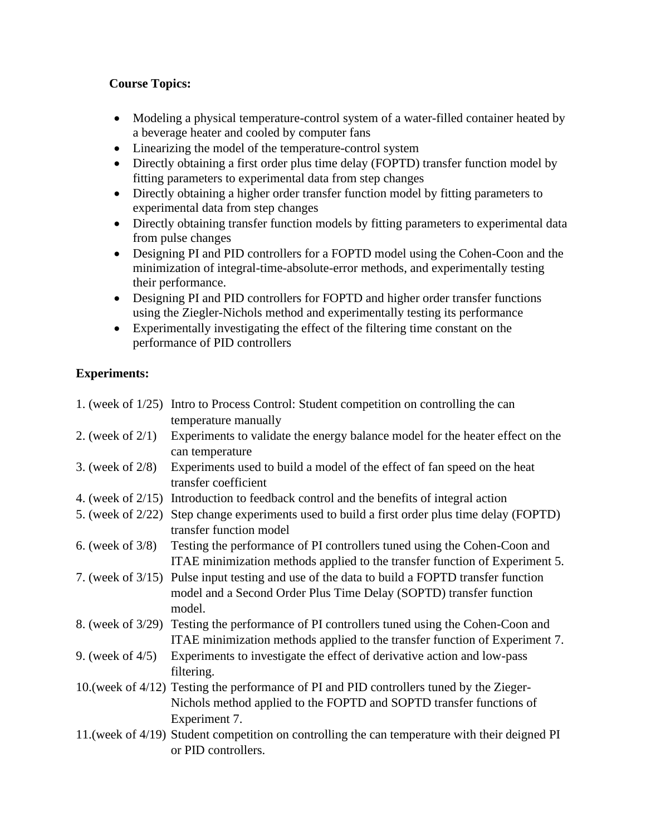# **Course Topics:**

- Modeling a physical temperature-control system of a water-filled container heated by a beverage heater and cooled by computer fans
- Linearizing the model of the temperature-control system
- Directly obtaining a first order plus time delay (FOPTD) transfer function model by fitting parameters to experimental data from step changes
- Directly obtaining a higher order transfer function model by fitting parameters to experimental data from step changes
- Directly obtaining transfer function models by fitting parameters to experimental data from pulse changes
- Designing PI and PID controllers for a FOPTD model using the Cohen-Coon and the minimization of integral-time-absolute-error methods, and experimentally testing their performance.
- Designing PI and PID controllers for FOPTD and higher order transfer functions using the Ziegler-Nichols method and experimentally testing its performance
- Experimentally investigating the effect of the filtering time constant on the performance of PID controllers

# **Experiments:**

|                      | 1. (week of 1/25) Intro to Process Control: Student competition on controlling the can<br>temperature manually                                                                    |
|----------------------|-----------------------------------------------------------------------------------------------------------------------------------------------------------------------------------|
| 2. (week of $2/1$ )  | Experiments to validate the energy balance model for the heater effect on the<br>can temperature                                                                                  |
| 3. (week of $2/8$ )  | Experiments used to build a model of the effect of fan speed on the heat<br>transfer coefficient                                                                                  |
| 4. (week of $2/15$ ) | Introduction to feedback control and the benefits of integral action                                                                                                              |
| 5. (week of 2/22)    | Step change experiments used to build a first order plus time delay (FOPTD)<br>transfer function model                                                                            |
| 6. (week of $3/8$ )  | Testing the performance of PI controllers tuned using the Cohen-Coon and<br>ITAE minimization methods applied to the transfer function of Experiment 5.                           |
| 7. (week of $3/15$ ) | Pulse input testing and use of the data to build a FOPTD transfer function<br>model and a Second Order Plus Time Delay (SOPTD) transfer function<br>model.                        |
|                      | 8. (week of 3/29) Testing the performance of PI controllers tuned using the Cohen-Coon and<br>ITAE minimization methods applied to the transfer function of Experiment 7.         |
| 9. (week of $4/5$ )  | Experiments to investigate the effect of derivative action and low-pass<br>filtering.                                                                                             |
|                      | 10. (week of 4/12) Testing the performance of PI and PID controllers tuned by the Zieger-<br>Nichols method applied to the FOPTD and SOPTD transfer functions of<br>Experiment 7. |
|                      | 11. (week of 4/19) Student competition on controlling the can temperature with their deigned PI<br>or PID controllers.                                                            |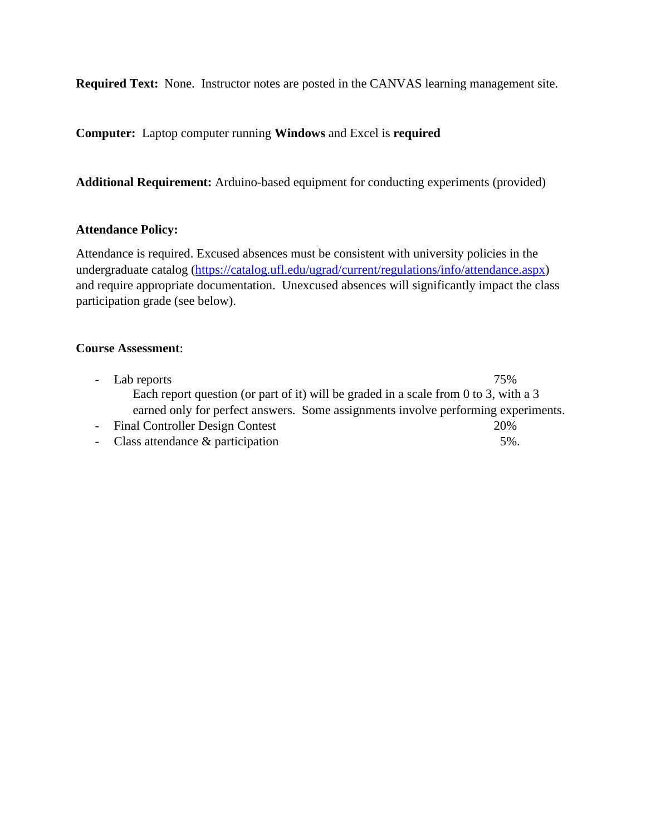**Required Text:** None. Instructor notes are posted in the CANVAS learning management site.

**Computer:** Laptop computer running **Windows** and Excel is **required**

**Additional Requirement:** Arduino-based equipment for conducting experiments (provided)

## **Attendance Policy:**

Attendance is required. Excused absences must be consistent with university policies in the undergraduate catalog [\(https://catalog.ufl.edu/ugrad/current/regulations/info/attendance.aspx\)](https://catalog.ufl.edu/ugrad/current/regulations/info/attendance.aspx) and require appropriate documentation. Unexcused absences will significantly impact the class participation grade (see below).

#### **Course Assessment**:

| - Lab reports                                                                        | 75% |
|--------------------------------------------------------------------------------------|-----|
| Each report question (or part of it) will be graded in a scale from 0 to 3, with a 3 |     |
| earned only for perfect answers. Some assignments involve performing experiments.    |     |
| - Final Controller Design Contest                                                    | 20% |
| - Class attendance $\&$ participation                                                | 5%. |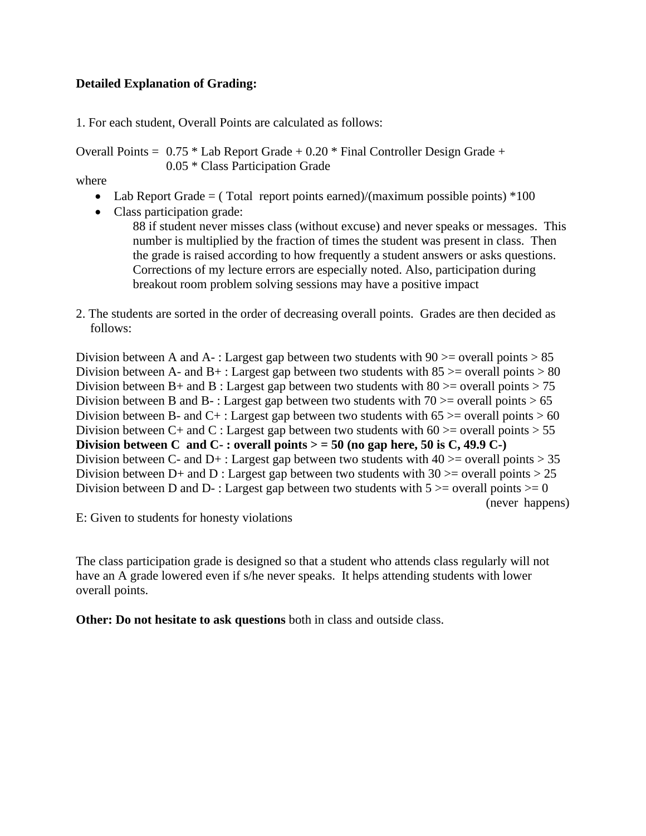## **Detailed Explanation of Grading:**

1. For each student, Overall Points are calculated as follows:

Overall Points =  $0.75 *$  Lab Report Grade +  $0.20 *$  Final Controller Design Grade + 0.05 \* Class Participation Grade

where

- Lab Report Grade  $=$  (Total report points earned)/(maximum possible points)  $*100$
- Class participation grade:
	- 88 if student never misses class (without excuse) and never speaks or messages. This number is multiplied by the fraction of times the student was present in class. Then the grade is raised according to how frequently a student answers or asks questions. Corrections of my lecture errors are especially noted. Also, participation during breakout room problem solving sessions may have a positive impact
- 2. The students are sorted in the order of decreasing overall points. Grades are then decided as follows:

Division between A and A- : Largest gap between two students with  $90 \ge$  overall points  $> 85$ Division between A- and  $B_{+}$ : Largest gap between two students with  $85 \ge$  overall points  $> 80$ Division between B+ and B : Largest gap between two students with  $80 \ge$  overall points  $> 75$ Division between B and B-: Largest gap between two students with  $70 \ge$  overall points  $> 65$ Division between B- and C+ : Largest gap between two students with  $65 \ge$  overall points  $> 60$ Division between C+ and C : Largest gap between two students with  $60 \ge$  overall points  $> 55$ **Division between C and C-**: overall points  $>$  = 50 (no gap here, 50 is C, 49.9 C-) Division between C- and D+ : Largest gap between two students with  $40 \ge$  overall points  $> 35$ Division between D+ and D : Largest gap between two students with  $30 \ge$  overall points  $> 25$ Division between D and D- : Largest gap between two students with  $5 \ge$  overall points  $\ge$  0 (never happens)

E: Given to students for honesty violations

The class participation grade is designed so that a student who attends class regularly will not have an A grade lowered even if s/he never speaks. It helps attending students with lower overall points.

**Other: Do not hesitate to ask questions** both in class and outside class.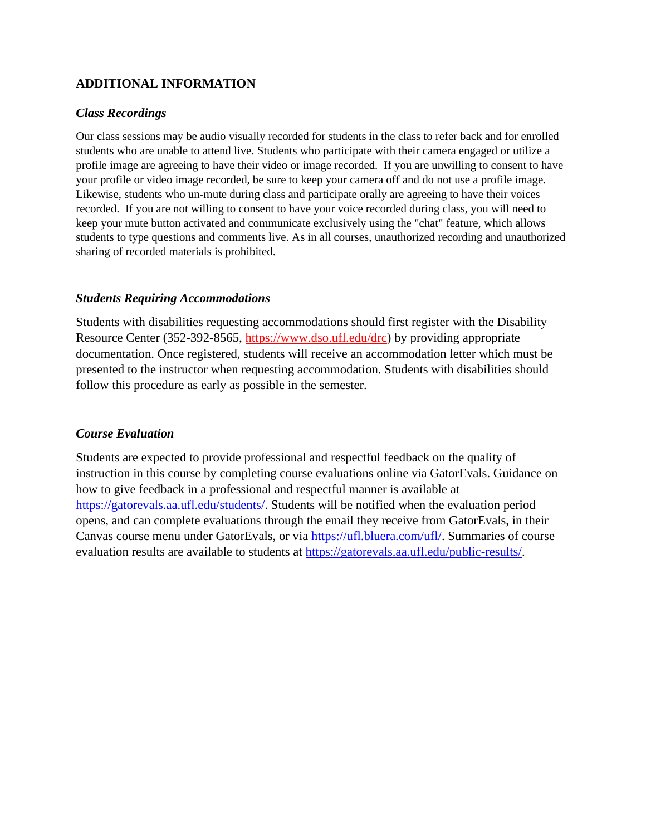# **ADDITIONAL INFORMATION**

#### *Class Recordings*

Our class sessions may be audio visually recorded for students in the class to refer back and for enrolled students who are unable to attend live. Students who participate with their camera engaged or utilize a profile image are agreeing to have their video or image recorded. If you are unwilling to consent to have your profile or video image recorded, be sure to keep your camera off and do not use a profile image. Likewise, students who un-mute during class and participate orally are agreeing to have their voices recorded. If you are not willing to consent to have your voice recorded during class, you will need to keep your mute button activated and communicate exclusively using the "chat" feature, which allows students to type questions and comments live. As in all courses, unauthorized recording and unauthorized sharing of recorded materials is prohibited.

## *Students Requiring Accommodations*

Students with disabilities requesting accommodations should first register with the Disability Resource Center (352-392-8565, https://www.dso.ufl.edu/drc) by providing appropriate documentation. Once registered, students will receive an accommodation letter which must be presented to the instructor when requesting accommodation. Students with disabilities should follow this procedure as early as possible in the semester.

## *Course Evaluation*

Students are expected to provide professional and respectful feedback on the quality of instruction in this course by completing course evaluations online via GatorEvals. Guidance on how to give feedback in a professional and respectful manner is available at [https://gatorevals.aa.ufl.edu/students/.](https://gatorevals.aa.ufl.edu/students/) Students will be notified when the evaluation period opens, and can complete evaluations through the email they receive from GatorEvals, in their Canvas course menu under GatorEvals, or via [https://ufl.bluera.com/ufl/.](https://ufl.bluera.com/ufl/) Summaries of course evaluation results are available to students at [https://gatorevals.aa.ufl.edu/public-results/.](https://gatorevals.aa.ufl.edu/public-results/)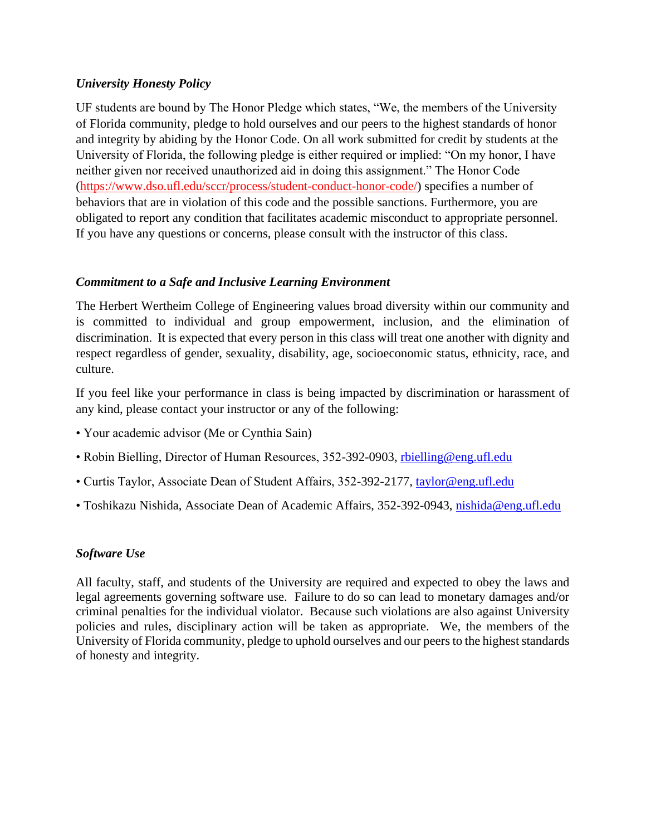## *University Honesty Policy*

UF students are bound by The Honor Pledge which states, "We, the members of the University of Florida community, pledge to hold ourselves and our peers to the highest standards of honor and integrity by abiding by the Honor Code. On all work submitted for credit by students at the University of Florida, the following pledge is either required or implied: "On my honor, I have neither given nor received unauthorized aid in doing this assignment." The Honor Code (https://www.dso.ufl.edu/sccr/process/student-conduct-honor-code/) specifies a number of behaviors that are in violation of this code and the possible sanctions. Furthermore, you are obligated to report any condition that facilitates academic misconduct to appropriate personnel. If you have any questions or concerns, please consult with the instructor of this class.

# *Commitment to a Safe and Inclusive Learning Environment*

The Herbert Wertheim College of Engineering values broad diversity within our community and is committed to individual and group empowerment, inclusion, and the elimination of discrimination. It is expected that every person in this class will treat one another with dignity and respect regardless of gender, sexuality, disability, age, socioeconomic status, ethnicity, race, and culture.

If you feel like your performance in class is being impacted by discrimination or harassment of any kind, please contact your instructor or any of the following:

- Your academic advisor (Me or Cynthia Sain)
- Robin Bielling, Director of Human Resources, 352-392-0903, rhielling@eng.ufl.edu
- Curtis Taylor, Associate Dean of Student Affairs, 352-392-2177, [taylor@eng.ufl.edu](mailto:taylor@eng.ufl.edu)
- Toshikazu Nishida, Associate Dean of Academic Affairs, 352-392-0943, [nishida@eng.ufl.edu](mailto:nishida@eng.ufl.edu)

## *Software Use*

All faculty, staff, and students of the University are required and expected to obey the laws and legal agreements governing software use. Failure to do so can lead to monetary damages and/or criminal penalties for the individual violator. Because such violations are also against University policies and rules, disciplinary action will be taken as appropriate. We, the members of the University of Florida community, pledge to uphold ourselves and our peers to the highest standards of honesty and integrity.